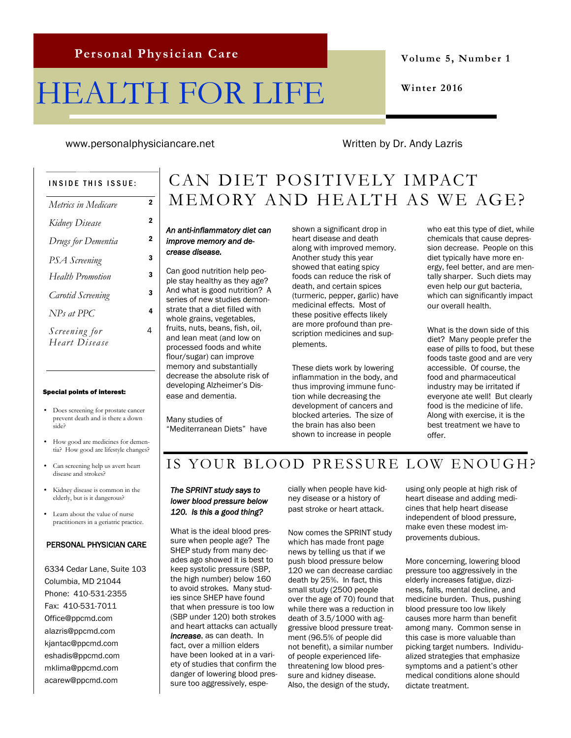# HEALTH FOR LIFE

**Volume 5, Number 1**

**Winter 2016**

www.personalphysiciancare.net Written by Dr. Andy Lazris

4

#### INSIDE THIS ISSUE:

| Metrics in Medicare      | 2              |
|--------------------------|----------------|
| Kidney Disease           | $\overline{2}$ |
| Drugs for Dementia       | $\overline{2}$ |
| PSA Screening            | 3              |
| Health Promotion         | 3              |
| <b>Carotid Screening</b> | 3              |
| $NPs$ at PPC             | 4              |
| Screening for            | 4              |
| Heart Disease            |                |

#### Special points of interest:

- Does screening for prostate cancer prevent death and is there a down side?
- How good are medicines for dementia? How good are lifestyle changes?
- Can screening help us avert heart disease and strokes?
- Kidney disease is common in the elderly, but is it dangerous?
- Learn about the value of nurse practitioners in a geriatric practice.

#### PERSONAL PHYSICIAN CARE

6334 Cedar Lane, Suite 103 Columbia, MD 21044 Phone: 410-531-2355 Fax: 410-531-7011 Office@ppcmd.com alazris@ppcmd.com kjantac@ppcmd.com eshadis@ppcmd.com mklima@ppcmd.com acarew@ppcmd.com

### CAN DIET POSITIVELY IMPACT MEMORY AND HEALTH AS WE AGE?

#### *An anti-inflammatory diet can improve memory and decrease disease.*

Can good nutrition help people stay healthy as they age? And what is good nutrition? A series of new studies demonstrate that a diet filled with whole grains, vegetables, fruits, nuts, beans, fish, oil, and lean meat (and low on processed foods and white flour/sugar) can improve memory and substantially decrease the absolute risk of developing Alzheimer's Disease and dementia.

Many studies of "Mediterranean Diets" have shown a significant drop in heart disease and death along with improved memory. Another study this year showed that eating spicy foods can reduce the risk of death, and certain spices (turmeric, pepper, garlic) have medicinal effects. Most of these positive effects likely are more profound than prescription medicines and supplements.

These diets work by lowering inflammation in the body, and thus improving immune function while decreasing the development of cancers and blocked arteries. The size of the brain has also been shown to increase in people

who eat this type of diet, while chemicals that cause depression decrease. People on this diet typically have more energy, feel better, and are mentally sharper. Such diets may even help our gut bacteria, which can significantly impact our overall health.

What is the down side of this diet? Many people prefer the ease of pills to food, but these foods taste good and are very accessible. Of course, the food and pharmaceutical industry may be irritated if everyone ate well! But clearly food is the medicine of life. Along with exercise, it is the best treatment we have to offer.

#### IS YOUR BLOOD PRESSURE LOW ENOUGH?

#### *The SPRINT study says to lower blood pressure below 120. Is this a good thing?*

What is the ideal blood pressure when people age? The SHEP study from many decades ago showed it is best to keep systolic pressure (SBP, the high number) below 160 to avoid strokes. Many studies since SHEP have found that when pressure is too low (SBP under 120) both strokes and heart attacks can actually *increase*, as can death. In fact, over a million elders have been looked at in a variety of studies that confirm the danger of lowering blood pressure too aggressively, especially when people have kidney disease or a history of past stroke or heart attack.

Now comes the SPRINT study which has made front page news by telling us that if we push blood pressure below 120 we can decrease cardiac death by 25%. In fact, this small study (2500 people over the age of 70) found that while there was a reduction in death of 3.5/1000 with aggressive blood pressure treatment (96.5% of people did not benefit), a similar number of people experienced lifethreatening low blood pressure and kidney disease. Also, the design of the study,

using only people at high risk of heart disease and adding medicines that help heart disease independent of blood pressure, make even these modest improvements dubious.

More concerning, lowering blood pressure too aggressively in the elderly increases fatigue, dizziness, falls, mental decline, and medicine burden. Thus, pushing blood pressure too low likely causes more harm than benefit among many. Common sense in this case is more valuable than picking target numbers. Individualized strategies that emphasize symptoms and a patient's other medical conditions alone should dictate treatment.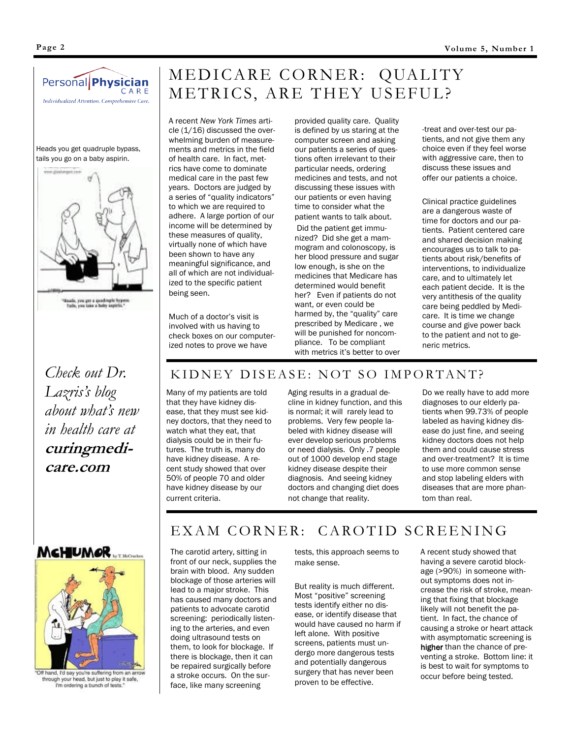



*Lazris's blog about what's new in health care at*  **curingmedicare.com**

## MEDICARE CORNER: QUALITY METRICS, ARE THEY USEFUL?

A recent *New York Times* article (1/16) discussed the overwhelming burden of measurements and metrics in the field of health care. In fact, metrics have come to dominate medical care in the past few years. Doctors are judged by a series of "quality indicators" to which we are required to adhere. A large portion of our income will be determined by these measures of quality, virtually none of which have been shown to have any meaningful significance, and all of which are not individualized to the specific patient being seen.

Much of a doctor's visit is involved with us having to check boxes on our computerized notes to prove we have

provided quality care. Quality is defined by us staring at the computer screen and asking our patients a series of questions often irrelevant to their particular needs, ordering medicines and tests, and not discussing these issues with our patients or even having time to consider what the patient wants to talk about. Did the patient get immunized? Did she get a mammogram and colonoscopy, is her blood pressure and sugar low enough, is she on the medicines that Medicare has determined would benefit her? Even if patients do not want, or even could be harmed by, the "quality" care prescribed by Medicare , we will be punished for noncompliance. To be compliant with metrics it's better to over

-treat and over-test our patients, and not give them any choice even if they feel worse with aggressive care, then to discuss these issues and offer our patients a choice.

Clinical practice guidelines are a dangerous waste of time for doctors and our patients. Patient centered care and shared decision making encourages us to talk to patients about risk/benefits of interventions, to individualize care, and to ultimately let each patient decide. It is the very antithesis of the quality care being peddled by Medicare. It is time we change course and give power back to the patient and not to generic metrics.

### KIDNEY DISEASE: NOT SO IMPORTANT?

Many of my patients are told that they have kidney disease, that they must see kidney doctors, that they need to watch what they eat, that dialysis could be in their futures. The truth is, many do have kidney disease. A recent study showed that over 50% of people 70 and older have kidney disease by our current criteria.

Aging results in a gradual decline in kidney function, and this is normal; it will rarely lead to problems. Very few people labeled with kidney disease will ever develop serious problems or need dialysis. Only .7 people out of 1000 develop end stage kidney disease despite their diagnosis. And seeing kidney doctors and changing diet does not change that reality.

Do we really have to add more diagnoses to our elderly patients when 99.73% of people labeled as having kidney disease do just fine, and seeing kidney doctors does not help them and could cause stress and over-treatment? It is time to use more common sense and stop labeling elders with diseases that are more phantom than real.





"Off hand, I'd say you're suffering from an arrow<br>through your head, but just to play it safe, I'm ordering a bunch of tests.

#### EXAM CORNER: CAROTID SCREENING

The carotid artery, sitting in front of our neck, supplies the brain with blood. Any sudden blockage of those arteries will lead to a major stroke. This has caused many doctors and patients to advocate carotid screening: periodically listening to the arteries, and even doing ultrasound tests on them, to look for blockage. If there is blockage, then it can be repaired surgically before a stroke occurs. On the surface, like many screening

tests, this approach seems to make sense.

But reality is much different. Most "positive" screening tests identify either no disease, or identify disease that would have caused no harm if left alone. With positive screens, patients must undergo more dangerous tests and potentially dangerous surgery that has never been proven to be effective.

A recent study showed that having a severe carotid blockage (>90%) in someone without symptoms does not increase the risk of stroke, meaning that fixing that blockage likely will not benefit the patient. In fact, the chance of causing a stroke or heart attack with asymptomatic screening is higher than the chance of preventing a stroke. Bottom line: it is best to wait for symptoms to occur before being tested.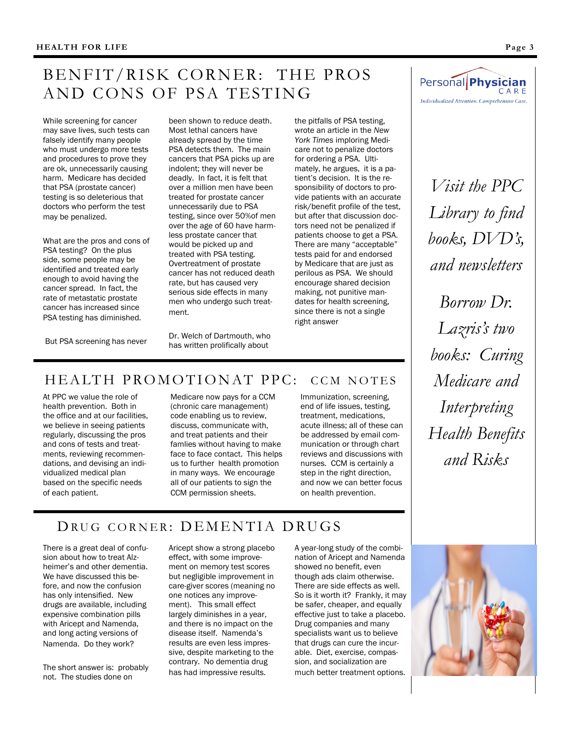### BENFIT/RISK CORNER: THE PROS AND CONS OF PSA TESTING

While screening for cancer may save lives, such tests can falsely identify many people who must undergo more tests and procedures to prove they are ok, unnecessarily causing harm. Medicare has decided that PSA (prostate cancer) testing is so deleterious that doctors who perform the test may be penalized.

What are the pros and cons of PSA testing? On the plus side, some people may be identified and treated early enough to avoid having the cancer spread. In fact, the rate of metastatic prostate cancer has increased since PSA testing has diminished.

been shown to reduce death. Most lethal cancers have already spread by the time PSA detects them. The main cancers that PSA picks up are indolent; they will never be deadly. In fact, it is felt that over a million men have been treated for prostate cancer unnecessarily due to PSA testing, since over 50%of men over the age of 60 have harmless prostate cancer that would be picked up and treated with PSA testing. Overtreatment of prostate cancer has not reduced death rate, but has caused very serious side effects in many men who undergo such treatment.

the pitfalls of PSA testing, wrote an article in the *New York Times* imploring Medicare not to penalize doctors for ordering a PSA. Ultimately, he argues, it is a patient's decision. It is the responsibility of doctors to provide patients with an accurate risk/benefit profile of the test, but after that discussion doctors need not be penalized if patients choose to get a PSA. There are many "acceptable" tests paid for and endorsed by Medicare that are just as perilous as PSA. We should encourage shared decision making, not punitive mandates for health screening, since there is not a single right answer



*Visit the PPC Library to find books, DVD's, and newsletters*

*Borrow Dr. Lazris's two books: Curing Medicare and Interpreting Health Benefits and Risks*

But PSA screening has never

Dr. Welch of Dartmouth, who has written prolifically about

### HEALTH PROMOTIONAT PPC: CCM NOTES

At PPC we value the role of health prevention. Both in the office and at our facilities, we believe in seeing patients regularly, discussing the pros and cons of tests and treatments, reviewing recommendations, and devising an individualized medical plan based on the specific needs of each patient.

Medicare now pays for a CCM (chronic care management) code enabling us to review, discuss, communicate with, and treat patients and their famlies without having to make face to face contact. This helps us to further health promotion in many ways. We encourage all of our patients to sign the CCM permission sheets.

Immunization, screening, end of life issues, testing, treatment, medications, acute illness; all of these can be addressed by email communication or through chart reviews and discussions with nurses. CCM is certainly a step in the right direction, and now we can better focus on health prevention.

### DRUG CORNER: DEMENTIA DRUGS

There is a great deal of confusion about how to treat Alzheimer's and other dementia. We have discussed this before, and now the confusion has only intensified. New drugs are available, including expensive combination pills with Aricept and Namenda, and long acting versions of Namenda. Do they work?

The short answer is: probably not. The studies done on

Aricept show a strong placebo effect, with some improvement on memory test scores but negligible improvement in care-giver scores (meaning no one notices any improvement). This small effect largely diminishes in a year, and there is no impact on the disease itself. Namenda's results are even less impressive, despite marketing to the contrary. No dementia drug has had impressive results.

A year-long study of the combination of Aricept and Namenda showed no benefit, even though ads claim otherwise. There are side effects as well. So is it worth it? Frankly, it may be safer, cheaper, and equally effective just to take a placebo. Drug companies and many specialists want us to believe that drugs can cure the incurable. Diet, exercise, compassion, and socialization are much better treatment options.